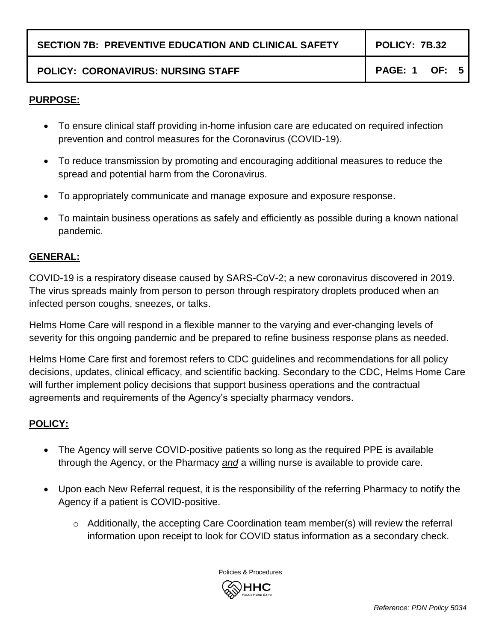|  |  |  | <b>SECTION 7B: PREVENTIVE EDUCATION AND CLINICAL SAFETY</b> |
|--|--|--|-------------------------------------------------------------|
|--|--|--|-------------------------------------------------------------|

# POLICY: CORONAVIRUS: NURSING STAFF **POLICY: 1 OF: 5**

#### **PURPOSE:**

- To ensure clinical staff providing in-home infusion care are educated on required infection prevention and control measures for the Coronavirus (COVID-19).
- To reduce transmission by promoting and encouraging additional measures to reduce the spread and potential harm from the Coronavirus.
- To appropriately communicate and manage exposure and exposure response.
- To maintain business operations as safely and efficiently as possible during a known national pandemic.

#### **GENERAL:**

COVID-19 is a respiratory disease caused by SARS-CoV-2; a new coronavirus discovered in 2019. The virus spreads mainly from person to person through respiratory droplets produced when an infected person coughs, sneezes, or talks.

Helms Home Care will respond in a flexible manner to the varying and ever-changing levels of severity for this ongoing pandemic and be prepared to refine business response plans as needed.

Helms Home Care first and foremost refers to CDC guidelines and recommendations for all policy decisions, updates, clinical efficacy, and scientific backing. Secondary to the CDC, Helms Home Care will further implement policy decisions that support business operations and the contractual agreements and requirements of the Agency's specialty pharmacy vendors.

# **POLICY:**

- The Agency will serve COVID-positive patients so long as the required PPE is available through the Agency, or the Pharmacy *and* a willing nurse is available to provide care.
- Upon each New Referral request, it is the responsibility of the referring Pharmacy to notify the Agency if a patient is COVID-positive.
	- $\circ$  Additionally, the accepting Care Coordination team member(s) will review the referral information upon receipt to look for COVID status information as a secondary check.

Policies & Procedures

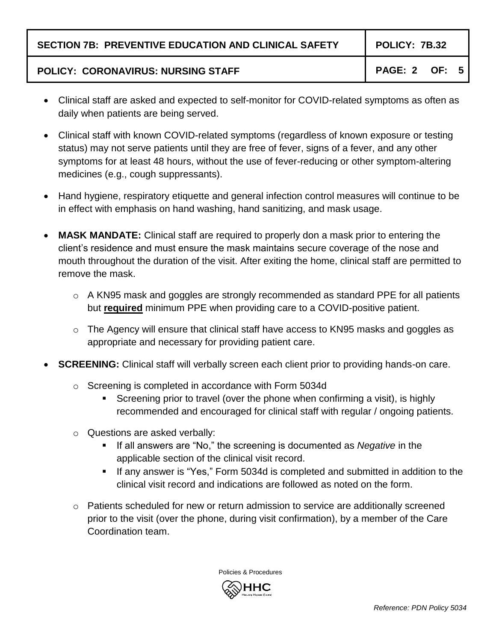# POLICY: CORONAVIRUS: NURSING STAFF **POLICY: CORONAVIRUS: NURSING STAFF**

- Clinical staff are asked and expected to self-monitor for COVID-related symptoms as often as daily when patients are being served.
- Clinical staff with known COVID-related symptoms (regardless of known exposure or testing status) may not serve patients until they are free of fever, signs of a fever, and any other symptoms for at least 48 hours, without the use of fever-reducing or other symptom-altering medicines (e.g., cough suppressants).
- Hand hygiene, respiratory etiquette and general infection control measures will continue to be in effect with emphasis on hand washing, hand sanitizing, and mask usage.
- **MASK MANDATE:** Clinical staff are required to properly don a mask prior to entering the client's residence and must ensure the mask maintains secure coverage of the nose and mouth throughout the duration of the visit. After exiting the home, clinical staff are permitted to remove the mask.
	- $\circ$  A KN95 mask and goggles are strongly recommended as standard PPE for all patients but **required** minimum PPE when providing care to a COVID-positive patient.
	- o The Agency will ensure that clinical staff have access to KN95 masks and goggles as appropriate and necessary for providing patient care.
- **SCREENING:** Clinical staff will verbally screen each client prior to providing hands-on care.
	- o Screening is completed in accordance with Form 5034d
		- Screening prior to travel (over the phone when confirming a visit), is highly recommended and encouraged for clinical staff with regular / ongoing patients.
	- o Questions are asked verbally:
		- If all answers are "No," the screening is documented as *Negative* in the applicable section of the clinical visit record.
		- If any answer is "Yes," Form 5034d is completed and submitted in addition to the clinical visit record and indications are followed as noted on the form.
	- $\circ$  Patients scheduled for new or return admission to service are additionally screened prior to the visit (over the phone, during visit confirmation), by a member of the Care Coordination team.



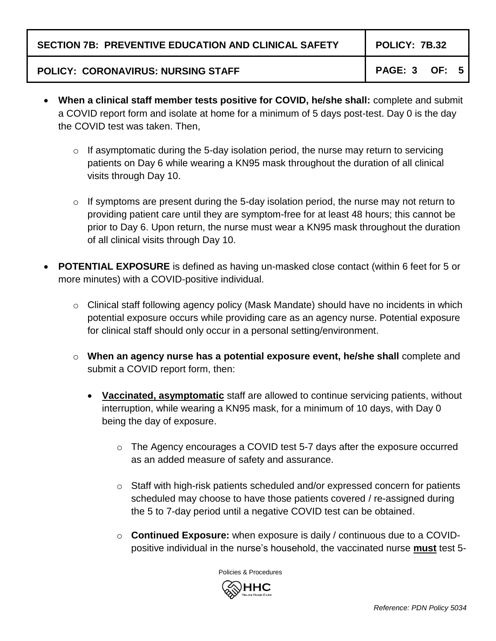### POLICY: CORONAVIRUS: NURSING STAFF **POLICY: CORONAVIRUS: NURSING STAFF**

- **When a clinical staff member tests positive for COVID, he/she shall:** complete and submit a COVID report form and isolate at home for a minimum of 5 days post-test. Day 0 is the day the COVID test was taken. Then,
	- $\circ$  If asymptomatic during the 5-day isolation period, the nurse may return to servicing patients on Day 6 while wearing a KN95 mask throughout the duration of all clinical visits through Day 10.
	- $\circ$  If symptoms are present during the 5-day isolation period, the nurse may not return to providing patient care until they are symptom-free for at least 48 hours; this cannot be prior to Day 6. Upon return, the nurse must wear a KN95 mask throughout the duration of all clinical visits through Day 10.
- **POTENTIAL EXPOSURE** is defined as having un-masked close contact (within 6 feet for 5 or more minutes) with a COVID-positive individual.
	- $\circ$  Clinical staff following agency policy (Mask Mandate) should have no incidents in which potential exposure occurs while providing care as an agency nurse. Potential exposure for clinical staff should only occur in a personal setting/environment.
	- o **When an agency nurse has a potential exposure event, he/she shall** complete and submit a COVID report form, then:
		- **Vaccinated, asymptomatic** staff are allowed to continue servicing patients, without interruption, while wearing a KN95 mask, for a minimum of 10 days, with Day 0 being the day of exposure.
			- o The Agency encourages a COVID test 5-7 days after the exposure occurred as an added measure of safety and assurance.
			- $\circ$  Staff with high-risk patients scheduled and/or expressed concern for patients scheduled may choose to have those patients covered / re-assigned during the 5 to 7-day period until a negative COVID test can be obtained.
			- o **Continued Exposure:** when exposure is daily / continuous due to a COVIDpositive individual in the nurse's household, the vaccinated nurse **must** test 5-

Policies & Procedures

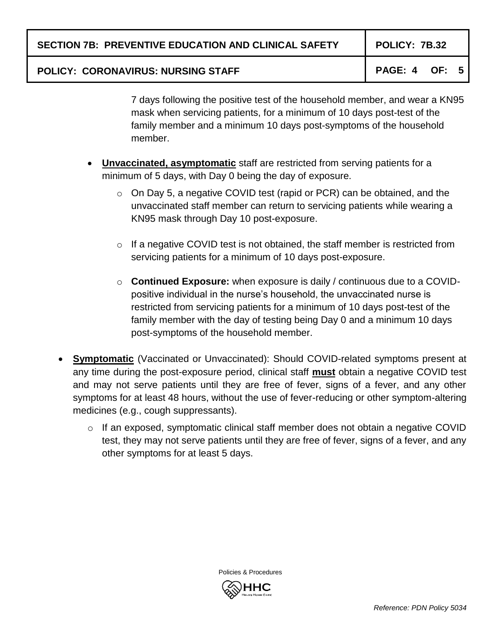**SECTION 7B: PREVENTIVE EDUCATION AND CLINICAL SAFETY POLICY: 7B.32**

# POLICY: CORONAVIRUS: NURSING STAFF **POLICY: CORONAVIRUS: NURSING STAFF**

7 days following the positive test of the household member, and wear a KN95 mask when servicing patients, for a minimum of 10 days post-test of the family member and a minimum 10 days post-symptoms of the household member.

- **Unvaccinated, asymptomatic** staff are restricted from serving patients for a minimum of 5 days, with Day 0 being the day of exposure.
	- o On Day 5, a negative COVID test (rapid or PCR) can be obtained, and the unvaccinated staff member can return to servicing patients while wearing a KN95 mask through Day 10 post-exposure.
	- o If a negative COVID test is not obtained, the staff member is restricted from servicing patients for a minimum of 10 days post-exposure.
	- o **Continued Exposure:** when exposure is daily / continuous due to a COVIDpositive individual in the nurse's household, the unvaccinated nurse is restricted from servicing patients for a minimum of 10 days post-test of the family member with the day of testing being Day 0 and a minimum 10 days post-symptoms of the household member.
- **Symptomatic** (Vaccinated or Unvaccinated): Should COVID-related symptoms present at any time during the post-exposure period, clinical staff **must** obtain a negative COVID test and may not serve patients until they are free of fever, signs of a fever, and any other symptoms for at least 48 hours, without the use of fever-reducing or other symptom-altering medicines (e.g., cough suppressants).
	- o If an exposed, symptomatic clinical staff member does not obtain a negative COVID test, they may not serve patients until they are free of fever, signs of a fever, and any other symptoms for at least 5 days.